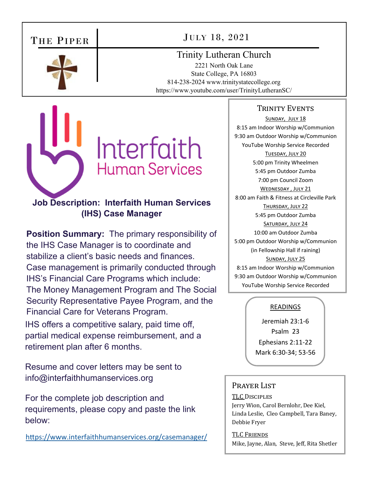# THE PIPER



JULY 18, 2021

# Trinity Lutheran Church

2221 North Oak Lane State College, PA 16803 814-238-2024 www.trinitystatecollege.org https://www.youtube.com/user/TrinityLutheranSC/



# **Job Description: Interfaith Human Services (IHS) Case Manager**

**Position Summary:** The primary responsibility of the IHS Case Manager is to coordinate and stabilize a client's basic needs and finances. Case management is primarily conducted through IHS's Financial Care Programs which include: The Money Management Program and The Social Security Representative Payee Program, and the Financial Care for Veterans Program. IHS offers a competitive salary, paid time off, partial medical expense reimbursement, and a retirement plan after 6 months.

Resume and cover letters may be sent to info@interfaithhumanservices.org

For the complete job description and requirements, please copy and paste the link below:

https://www.interfaithhumanservices.org/casemanager/

## TRINITY EVENTS

SUNDAY, JULY 18 8:15 am Indoor Worship w/Communion 9:30 am Outdoor Worship w/Communion YouTube Worship Service Recorded TUESDAY, JULY 20 5:00 pm Trinity Wheelmen 5:45 pm Outdoor Zumba 7:00 pm Council Zoom WEDNESDAY, JULY 21 8:00 am Faith & Fitness at Circleville Park THURSDAY, JULY 22 5:45 pm Outdoor Zumba SATURDAY, JULY 24 10:00 am Outdoor Zumba 5:00 pm Outdoor Worship w/Communion (in Fellowship Hall if raining) SUNDAY, JULY 25 8:15 am Indoor Worship w/Communion 9:30 am Outdoor Worship w/Communion YouTube Worship Service Recorded

## READINGS

Jeremiah 23:1‐6 Psalm 23 Ephesians 2:11‐22 Mark 6:30‐34; 53‐56

## PRAYER LIST

## TLC DISCIPLES

Jerry Wion, Carol Bernlohr, Dee Kiel, Linda Leslie, Cleo Campbell, Tara Baney, Debbie Fryer

TLC FRIENDS Mike, Jayne, Alan, Steve, Jeff, Rita Shetler